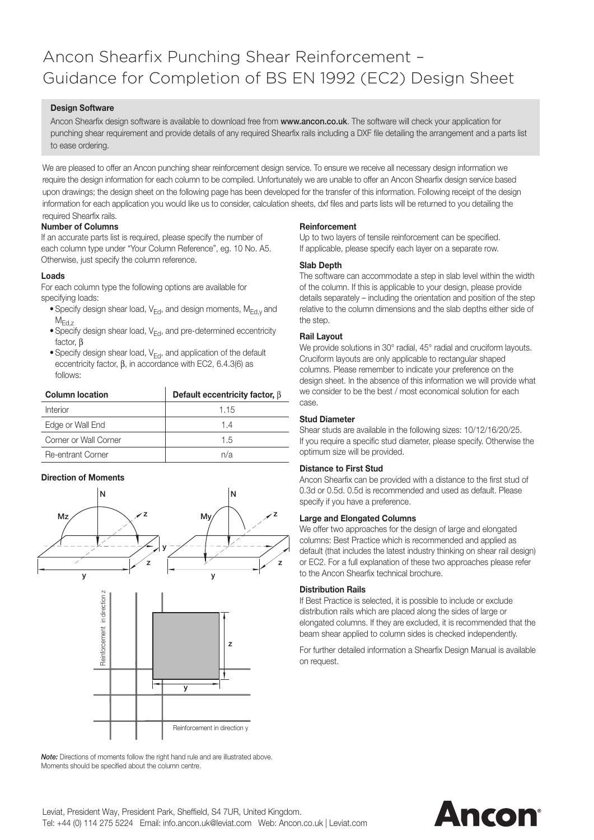## Ancon Shearfix Punching Shear Reinforcement – Guidance for Completion of BS EN 1992 (EC2) Design Sheet

#### **Design Software**

Ancon Shearfix design software is available to download free from www.ancon.co.uk. The software will check your application for punching shear requirement and provide details of any required Shearfix rails including a DXF file detailing the arrangement and a parts list to ease ordering.

We are pleased to offer an Ancon punching shear reinforcement design service. To ensure we receive all necessary design information we require the design information for each column to be compiled. Unfortunately we are unable to offer an Ancon Shearfix design service based upon drawings; the design sheet on the following page has been developed for the transfer of this information. Following receipt of the design information for each application you would like us to consider, calculation sheets, dxf files and parts lists will be returned to you detailing the required Shearfix rails.

#### **Number of Columns**

If an accurate parts list is required, please specify the number of each column type under "Your Column Reference", eg. 10 No. A5. Otherwise, just specify the column reference.

#### **Loads**

For each column type the following options are available for specifying loads:

- Specify design shear load,  $V_{Ed}$ , and design moments,  $M_{Ed,v}$  and  $M_{Ed.7}$
- Specify design shear load,  $V_{Ed}$ , and pre-determined eccentricity factor, B
- Specify design shear load,  $V_{Ed}$ , and application of the default eccentricity factor,  $\beta$ , in accordance with EC2, 6.4.3(6) as follows:

| <b>Column location</b>   | Default eccentricity factor, $\beta$ |
|--------------------------|--------------------------------------|
| Interior                 | 1.15                                 |
| Edge or Wall End         | 14                                   |
| Corner or Wall Corner    | 1.5                                  |
| <b>Re-entrant Corner</b> | n/a                                  |

#### **Direction of Moments**



*Note:* Directions of moments follow the right hand rule and are illustrated above. Moments should be specified about the column centre.

#### **Reinforcement**

Up to two layers of tensile reinforcement can be specified. If applicable, please specify each layer on a separate row.

#### **Slab Depth**

The software can accommodate a step in slab level within the width of the column. If this is applicable to your design, please provide details separately – including the orientation and position of the step relative to the column dimensions and the slab depths either side of the step.

#### **Rail Layout**

We provide solutions in 30° radial, 45° radial and cruciform layouts. Cruciform layouts are only applicable to rectangular shaped columns. Please remember to indicate your preference on the design sheet. In the absence of this information we will provide what we consider to be the best / most economical solution for each case.

#### **Stud Diameter**

Shear studs are available in the following sizes: 10/12/16/20/25. If you require a specific stud diameter, please specify. Otherwise the optimum size will be provided.

#### **Distance to First Stud**

Ancon Shearfix can be provided with a distance to the first stud of 0.3d or 0.5d. 0.5d is recommended and used as default. Please specify if you have a preference.

#### **Large and Elongated Columns**

We offer two approaches for the design of large and elongated columns: Best Practice which is recommended and applied as default (that includes the latest industry thinking on shear rail design) or EC2. For a full explanation of these two approaches please refer to the Ancon Shearfix technical brochure.

#### **Distribution Rails**

If Best Practice is selected, it is possible to include or exclude distribution rails which are placed along the sides of large or elongated columns. If they are excluded, it is recommended that the beam shear applied to column sides is checked independently.

For further detailed information a Shearfix Design Manual is available on request.

# Ancon